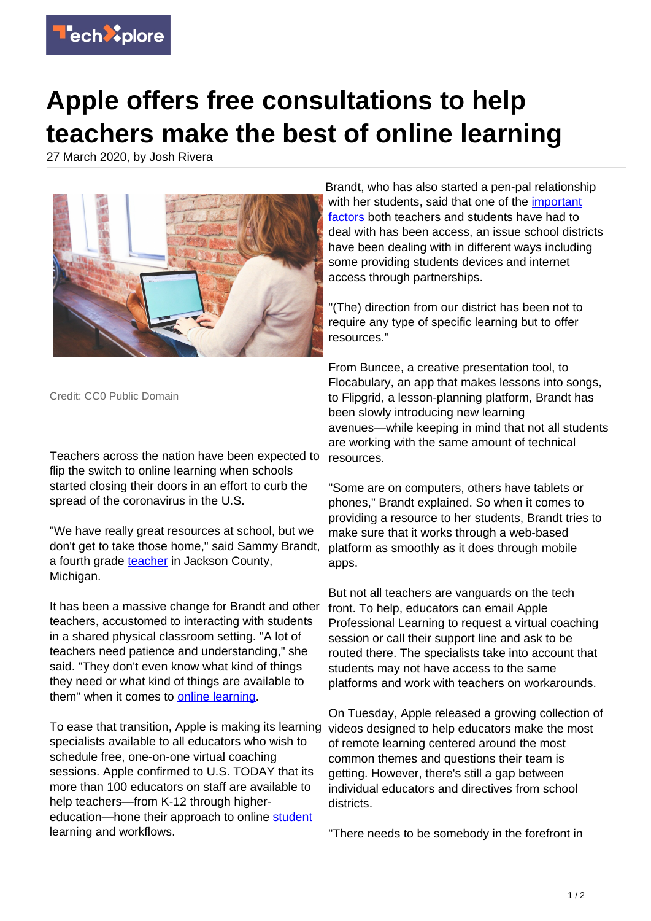

## **Apple offers free consultations to help teachers make the best of online learning**

27 March 2020, by Josh Rivera



Credit: CC0 Public Domain

Teachers across the nation have been expected to flip the switch to online learning when schools started closing their doors in an effort to curb the spread of the coronavirus in the U.S.

"We have really great resources at school, but we don't get to take those home," said Sammy Brandt, a fourth grade [teacher](https://techxplore.com/tags/teacher/) in Jackson County, Michigan.

It has been a massive change for Brandt and other teachers, accustomed to interacting with students in a shared physical classroom setting. "A lot of teachers need patience and understanding," she said. "They don't even know what kind of things they need or what kind of things are available to them" when it comes to **online learning**.

To ease that transition, Apple is making its learning specialists available to all educators who wish to schedule free, one-on-one virtual coaching sessions. Apple confirmed to U.S. TODAY that its more than 100 educators on staff are available to help teachers—from K-12 through highereducation—hone their approach to online [student](https://techxplore.com/tags/student/) learning and workflows.

Brandt, who has also started a pen-pal relationship with her students, said that one of the *important* [factors](https://techxplore.com/tags/important+factors/) both teachers and students have had to deal with has been access, an issue school districts have been dealing with in different ways including some providing students devices and internet access through partnerships.

"(The) direction from our district has been not to require any type of specific learning but to offer resources."

From Buncee, a creative presentation tool, to Flocabulary, an app that makes lessons into songs, to Flipgrid, a lesson-planning platform, Brandt has been slowly introducing new learning avenues—while keeping in mind that not all students are working with the same amount of technical resources.

"Some are on computers, others have tablets or phones," Brandt explained. So when it comes to providing a resource to her students, Brandt tries to make sure that it works through a web-based platform as smoothly as it does through mobile apps.

But not all teachers are vanguards on the tech front. To help, educators can email Apple Professional Learning to request a virtual coaching session or call their support line and ask to be routed there. The specialists take into account that students may not have access to the same platforms and work with teachers on workarounds.

On Tuesday, Apple released a growing collection of videos designed to help educators make the most of remote learning centered around the most common themes and questions their team is getting. However, there's still a gap between individual educators and directives from school districts.

"There needs to be somebody in the forefront in